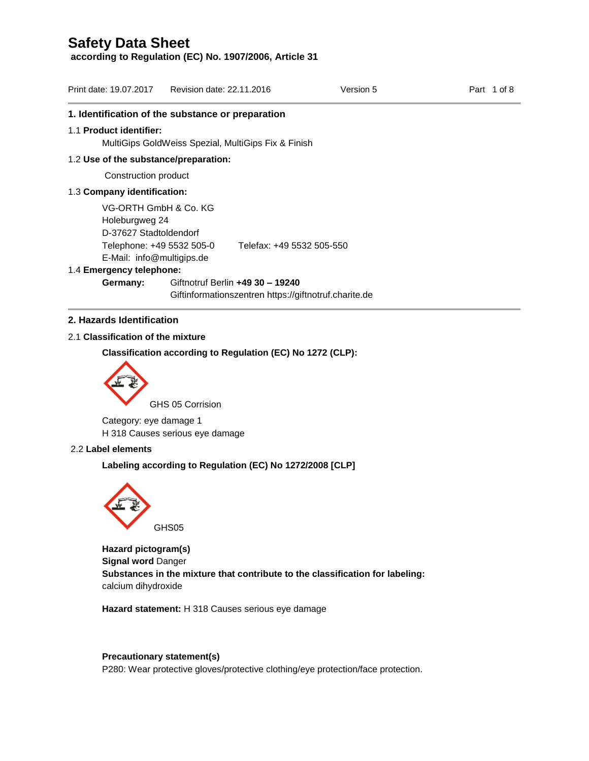**according to Regulation (EC) No. 1907/2006, Article 31**

| Print date: 19.07.2017 Revision date: 22.11.2016                  |                                                     |                           | Version 5                                             | Part 1 of 8 |
|-------------------------------------------------------------------|-----------------------------------------------------|---------------------------|-------------------------------------------------------|-------------|
| 1. Identification of the substance or preparation                 |                                                     |                           |                                                       |             |
| 1.1 Product identifier:                                           |                                                     |                           |                                                       |             |
|                                                                   | MultiGips GoldWeiss Spezial, MultiGips Fix & Finish |                           |                                                       |             |
| 1.2 Use of the substance/preparation:                             |                                                     |                           |                                                       |             |
| Construction product                                              |                                                     |                           |                                                       |             |
| 1.3 Company identification:                                       |                                                     |                           |                                                       |             |
| VG-ORTH GmbH & Co. KG<br>Holeburgweg 24<br>D-37627 Stadtoldendorf |                                                     |                           |                                                       |             |
| Telephone: +49 5532 505-0<br>E-Mail: info@multigips.de            |                                                     | Telefax: +49 5532 505-550 |                                                       |             |
| 1.4 Emergency telephone:                                          |                                                     |                           |                                                       |             |
| Germany:                                                          | Giftnotruf Berlin +49 30 - 19240                    |                           | Giftinformationszentren https://giftnotruf.charite.de |             |

# **2. Hazards Identification**

## 2.1 **Classification of the mixture**

**Classification according to Regulation (EC) No 1272 (CLP):**



Category: eye damage 1 H 318 Causes serious eye damage

### 2.2 **Label elements**

**Labeling according to Regulation (EC) No 1272/2008 [CLP]** 



**Hazard pictogram(s) Signal word** Danger **Substances in the mixture that contribute to the classification for labeling:**  calcium dihydroxide

**Hazard statement:** H 318 Causes serious eye damage

## **Precautionary statement(s)**

P280: Wear protective gloves/protective clothing/eye protection/face protection.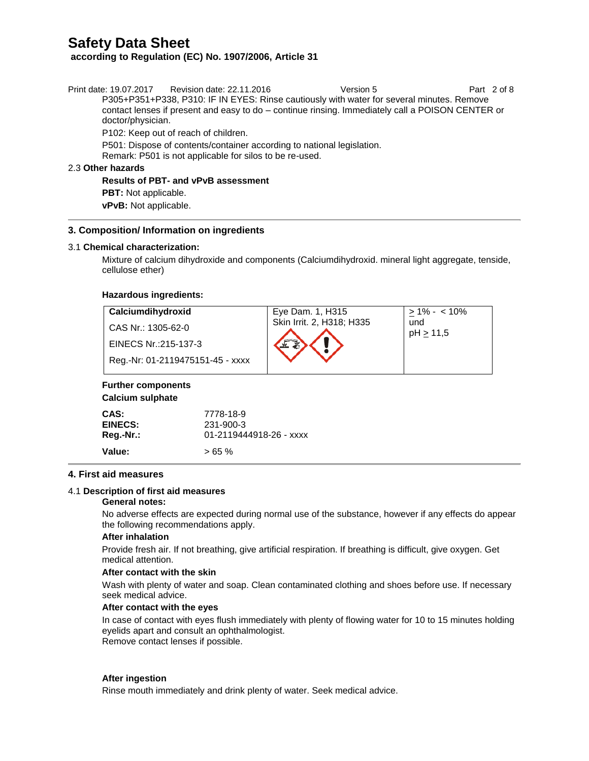**according to Regulation (EC) No. 1907/2006, Article 31**

| doctor/physician.           | Print date: 19.07.2017 Revision date: 22.11.2016<br>P305+P351+P338, P310: IF IN EYES: Rinse cautiously with water for several minutes. Remove<br>contact lenses if present and easy to do – continue rinsing. Immediately call a POISON CENTER or | Version 5 | Part 2 of 8 |
|-----------------------------|---------------------------------------------------------------------------------------------------------------------------------------------------------------------------------------------------------------------------------------------------|-----------|-------------|
|                             | P102: Keep out of reach of children.                                                                                                                                                                                                              |           |             |
|                             | P501: Dispose of contents/container according to national legislation.<br>Remark: P501 is not applicable for silos to be re-used.                                                                                                                 |           |             |
| 2.3 Other hazards           |                                                                                                                                                                                                                                                   |           |             |
|                             | <b>Results of PBT- and vPvB assessment</b>                                                                                                                                                                                                        |           |             |
| <b>PBT:</b> Not applicable. |                                                                                                                                                                                                                                                   |           |             |

**vPvB:** Not applicable.

### **3. Composition/ Information on ingredients**

#### 3.1 **Chemical characterization:**

Mixture of calcium dihydroxide and components (Calciumdihydroxid. mineral [light](https://dict.leo.org/ende/index_de.html#/search=light&searchLoc=0&resultOrder=basic&multiwordShowSingle=on&pos=0) [aggregate,](https://dict.leo.org/ende/index_de.html#/search=aggregate&searchLoc=0&resultOrder=basic&multiwordShowSingle=on&pos=0) tenside, cellulose ether)

#### **Hazardous ingredients:**

| Calciumdihydroxid                | Eye Dam. 1, H315          | $> 1\% - 10\%$   |
|----------------------------------|---------------------------|------------------|
| CAS Nr.: 1305-62-0               | Skin Irrit. 2, H318; H335 | und<br>pH > 11,5 |
| EINECS Nr.:215-137-3             |                           |                  |
| Reg.-Nr: 01-2119475151-45 - xxxx |                           |                  |

## **Further components**

#### **Calcium sulphate**

| CAS:      | 7778-18-9               |
|-----------|-------------------------|
| EINECS:   | 231-900-3               |
| Reg.-Nr.: | 01-2119444918-26 - xxxx |
| Value:    | >65%                    |

#### **4. First aid measures**

#### 4.1 **Description of first aid measures**

#### **General notes:**

No adverse effects are expected during normal use of the substance, however if any effects do appear the following recommendations apply.

#### **After inhalation**

Provide fresh air. If not breathing, give artificial respiration. If breathing is difficult, give oxygen. Get medical attention.

#### **After contact with the skin**

Wash with plenty of water and soap. Clean contaminated clothing and shoes before use. If necessary seek medical advice.

#### **After contact with the eyes**

In case of contact with eyes flush immediately with plenty of flowing water for 10 to 15 minutes holding eyelids apart and consult an ophthalmologist. Remove contact lenses if possible.

#### **After ingestion**

Rinse mouth immediately and drink plenty of water. Seek medical advice.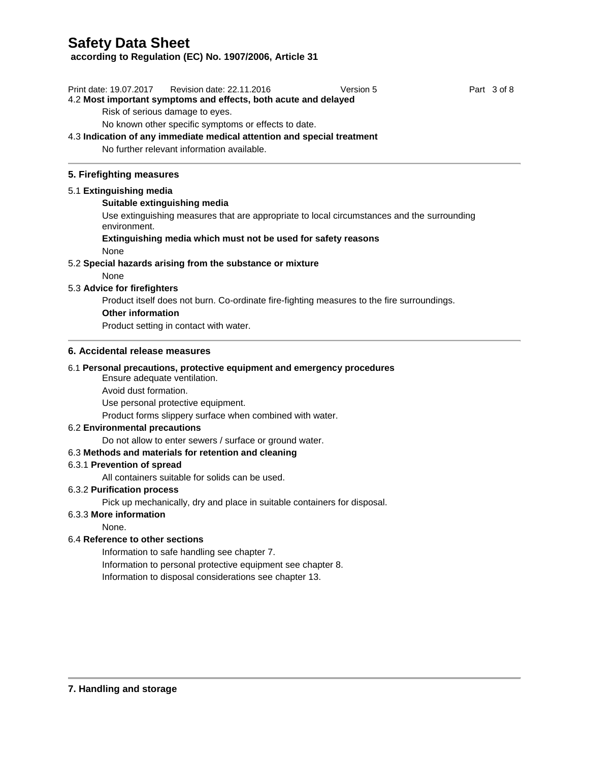**according to Regulation (EC) No. 1907/2006, Article 31**

Print date: 19.07.2017 Revision date: 22.11.2016 Version 5 Version 5 Part 3 of 8 4.2 **Most important symptoms and effects, both acute and delayed**

Risk of serious damage to eyes.

No known other specific symptoms or effects to date.

# 4.3 **Indication of any immediate medical attention and special treatment**

No further relevant information available.

# **5. Firefighting measures**

# 5.1 **Extinguishing media**

# **Suitable extinguishing media**

Use extinguishing measures that are appropriate to local circumstances and the surrounding environment.

# **Extinguishing media which must not be used for safety reasons**

None

# 5.2 **Special hazards arising from the substance or mixture**

None

# 5.3 **Advice for firefighters**

Product itself does not burn. Co-ordinate fire-fighting measures to the fire surroundings.

## **Other information**

Product setting in contact with water.

## **6. Accidental release measures**

## 6.1 **Personal precautions, protective equipment and emergency procedures**

Ensure adequate ventilation.

Avoid dust formation.

Use personal protective equipment.

Product forms slippery surface when combined with water.

## 6.2 **Environmental precautions**

Do not allow to enter sewers / surface or ground water.

## 6.3 **Methods and materials for retention and cleaning**

## 6.3.1 **Prevention of spread**

All containers suitable for solids can be used.

## 6.3.2 **Purification process**

Pick up mechanically, dry and place in suitable containers for disposal.

## 6.3.3 **More information**

None.

## 6.4 **Reference to other sections**

Information to safe handling see chapter 7. Information to personal protective equipment see chapter 8. Information to disposal considerations see chapter 13.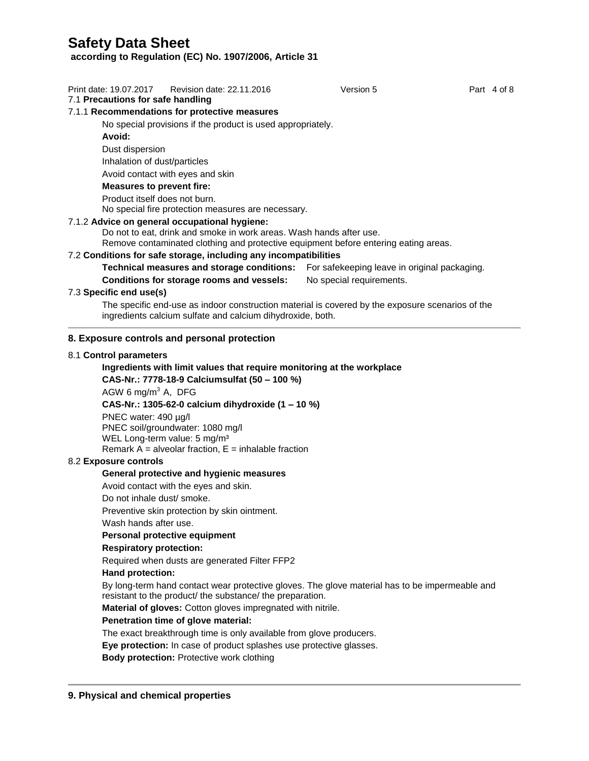**according to Regulation (EC) No. 1907/2006, Article 31**

| Print date: 19.07.2017<br>Part 4 of 8<br>Revision date: 22.11.2016<br>Version 5 |  |  |  |  |
|---------------------------------------------------------------------------------|--|--|--|--|
|---------------------------------------------------------------------------------|--|--|--|--|

## 7.1 **Precautions for safe handling**

### 7.1.1 **Recommendations for protective measures**

No special provisions if the product is used appropriately.

**Avoid:** 

Dust dispersion

Inhalation of dust/particles

Avoid contact with eyes and skin

### **Measures to prevent fire:**

Product itself does not burn.

No special fire protection measures are necessary.

### 7.1.2 **Advice on general occupational hygiene:**

Do not to eat, drink and smoke in work areas. Wash hands after use.

Remove contaminated clothing and protective equipment before entering eating areas.

## 7.2 **Conditions for safe storage, including any incompatibilities**

**Technical measures and storage conditions:** For safekeeping leave in original packaging.

**Conditions for storage rooms and vessels:** No special requirements.

## 7.3 **Specific end use(s)**

The specific end-use as indoor construction material is covered by the exposure scenarios of the ingredients calcium sulfate and calcium dihydroxide, both.

## **8. Exposure controls and personal protection**

#### 8.1 **Control parameters**

# **Ingredients with limit values that require monitoring at the workplace**

**CAS-Nr.: 7778-18-9 Calciumsulfat (50 – 100 %)**

AGW 6 mg/m<sup>3</sup> A, DFG

## **CAS-Nr.: 1305-62-0 calcium dihydroxide (1 – 10 %)**

PNEC water: 490 µg/l PNEC soil/groundwater: 1080 mg/l WEL Long-term value: 5 mg/m<sup>3</sup> Remark  $\overline{A}$  = alveolar fraction,  $E$  = inhalable fraction

### 8.2 **Exposure controls**

### **General protective and hygienic measures**

Avoid contact with the eyes and skin.

Do not inhale dust/ smoke.

Preventive skin protection by skin ointment.

Wash hands after use.

### **Personal protective equipment**

### **Respiratory protection:**

Required when dusts are generated Filter FFP2

#### **Hand protection:**

By long-term hand contact wear protective gloves. The glove material has to be impermeable and resistant to the product/ the substance/ the preparation.

**Material of gloves:** Cotton gloves impregnated with nitrile.

### **Penetration time of glove material:**

The exact breakthrough time is only available from glove producers.

**Eye protection:** In case of product splashes use protective glasses.

**Body protection:** Protective work clothing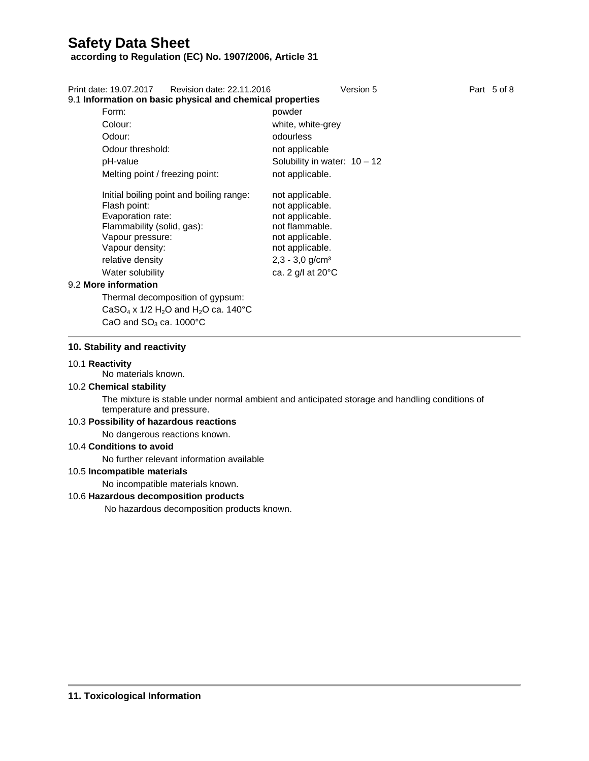## **according to Regulation (EC) No. 1907/2006, Article 31**

| Print date: 19.07.2017 Revision date: 22.11.2016<br>9.1 Information on basic physical and chemical properties | Version 5                      | Part 5 of 8 |
|---------------------------------------------------------------------------------------------------------------|--------------------------------|-------------|
| Form:                                                                                                         | powder                         |             |
|                                                                                                               |                                |             |
| Colour:                                                                                                       | white, white-grey              |             |
| Odour:                                                                                                        | odourless                      |             |
| Odour threshold:                                                                                              | not applicable                 |             |
| pH-value                                                                                                      | Solubility in water: $10 - 12$ |             |
| Melting point / freezing point:                                                                               | not applicable.                |             |
| Initial boiling point and boiling range:                                                                      | not applicable.                |             |
| Flash point:                                                                                                  | not applicable.                |             |
| Evaporation rate:                                                                                             | not applicable.                |             |
| Flammability (solid, gas):                                                                                    | not flammable.                 |             |
| Vapour pressure:                                                                                              | not applicable.                |             |
| Vapour density:                                                                                               | not applicable.                |             |
| relative density                                                                                              | $2,3 - 3,0$ g/cm <sup>3</sup>  |             |
| Water solubility                                                                                              | ca. 2 g/l at 20°C              |             |
| 9.2 More information                                                                                          |                                |             |
| Thermal decomposition of gypsum:                                                                              |                                |             |

CaSO<sub>4</sub> x 1/2 H<sub>2</sub>O and H<sub>2</sub>O ca. 140°C CaO and  $SO<sub>3</sub>$  ca. 1000 $^{\circ}$ C

#### **10. Stability and reactivity**

#### 10.1 **Reactivity**

No materials known.

## 10.2 **Chemical stability**

The mixture is stable under normal ambient and anticipated storage and handling conditions of temperature and pressure.

### 10.3 **Possibility of hazardous reactions**

No dangerous reactions known.

## 10.4 **Conditions to avoid**

No further relevant information available

#### 10.5 **Incompatible materials**

No incompatible materials known.

### 10.6 **Hazardous decomposition products**

No hazardous decomposition products known.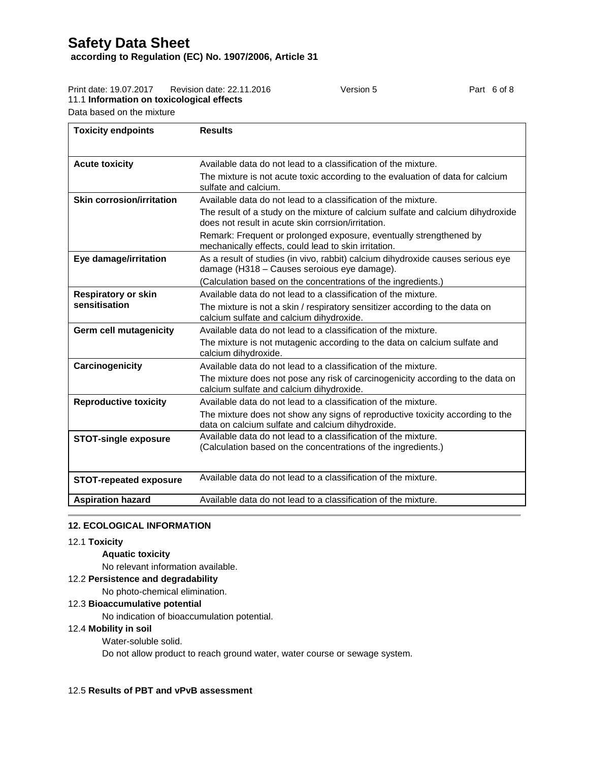**according to Regulation (EC) No. 1907/2006, Article 31**

| l Toxicity endpoints                                                | <b>Results</b>            |           |             |
|---------------------------------------------------------------------|---------------------------|-----------|-------------|
| Data based on the mixture                                           |                           |           |             |
| Print date: 19.07.2017<br>11.1 Information on toxicological effects | Revision date: 22.11.2016 | Version 5 | Part 6 of 8 |
|                                                                     |                           |           |             |

| <b>Acute toxicity</b>            | Available data do not lead to a classification of the mixture.                                                                        |
|----------------------------------|---------------------------------------------------------------------------------------------------------------------------------------|
|                                  | The mixture is not acute toxic according to the evaluation of data for calcium<br>sulfate and calcium.                                |
| <b>Skin corrosion/irritation</b> | Available data do not lead to a classification of the mixture.                                                                        |
|                                  | The result of a study on the mixture of calcium sulfate and calcium dihydroxide<br>does not result in acute skin corrsion/irritation. |
|                                  | Remark: Frequent or prolonged exposure, eventually strengthened by<br>mechanically effects, could lead to skin irritation.            |
| Eye damage/irritation            | As a result of studies (in vivo, rabbit) calcium dihydroxide causes serious eye<br>damage (H318 - Causes seroious eye damage).        |
|                                  | (Calculation based on the concentrations of the ingredients.)                                                                         |
| <b>Respiratory or skin</b>       | Available data do not lead to a classification of the mixture.                                                                        |
| sensitisation                    | The mixture is not a skin / respiratory sensitizer according to the data on<br>calcium sulfate and calcium dihydroxide.               |
| <b>Germ cell mutagenicity</b>    | Available data do not lead to a classification of the mixture.                                                                        |
|                                  | The mixture is not mutagenic according to the data on calcium sulfate and<br>calcium dihydroxide.                                     |
| Carcinogenicity                  | Available data do not lead to a classification of the mixture.                                                                        |
|                                  | The mixture does not pose any risk of carcinogenicity according to the data on<br>calcium sulfate and calcium dihydroxide.            |
| <b>Reproductive toxicity</b>     | Available data do not lead to a classification of the mixture.                                                                        |
|                                  | The mixture does not show any signs of reproductive toxicity according to the<br>data on calcium sulfate and calcium dihydroxide.     |
| <b>STOT-single exposure</b>      | Available data do not lead to a classification of the mixture.<br>(Calculation based on the concentrations of the ingredients.)       |
| <b>STOT-repeated exposure</b>    | Available data do not lead to a classification of the mixture.                                                                        |
|                                  |                                                                                                                                       |
| <b>Aspiration hazard</b>         | Available data do not lead to a classification of the mixture.                                                                        |

### **12. ECOLOGICAL INFORMATION**

#### 12.1 **Toxicity**

## **Aquatic toxicity**

No relevant information available.

#### 12.2 **Persistence and degradability**

No photo-chemical elimination.

## 12.3 **Bioaccumulative potential**

No indication of bioaccumulation potential.

## 12.4 **Mobility in soil**

Water-soluble solid.

Do not allow product to reach ground water, water course or sewage system.

## 12.5 **Results of PBT and vPvB assessment**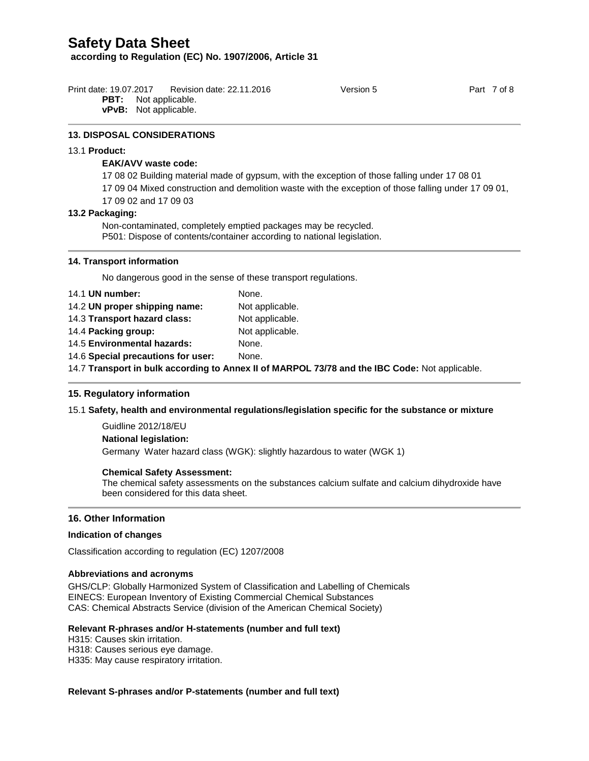**according to Regulation (EC) No. 1907/2006, Article 31**

| Print date: 19.07.2017 | Revision date: 22.11.2016    | Version 5 | Part 7 of 8 |
|------------------------|------------------------------|-----------|-------------|
|                        | <b>PBT:</b> Not applicable.  |           |             |
|                        | <b>vPvB:</b> Not applicable. |           |             |

#### **13. DISPOSAL CONSIDERATIONS**

#### 13.1 **Product:**

## **EAK/AVV waste code:**

17 08 02 Building material made of gypsum, with the exception of those falling under 17 08 01

17 09 04 Mixed construction and demolition waste with the exception of those falling under 17 09 01,

17 09 02 and 17 09 03

#### **13.2 Packaging:**

Non-contaminated, completely emptied packages may be recycled. P501: Dispose of contents/container according to national legislation.

#### **14. Transport information**

No dangerous good in the sense of these transport regulations.

| 14.1 UN number:                                                                                | None.           |  |
|------------------------------------------------------------------------------------------------|-----------------|--|
| 14.2 UN proper shipping name:                                                                  | Not applicable. |  |
| 14.3 Transport hazard class:                                                                   | Not applicable. |  |
| 14.4 Packing group:                                                                            | Not applicable. |  |
| 14.5 Environmental hazards:                                                                    | None.           |  |
| 14.6 Special precautions for user:                                                             | None.           |  |
| 14.7 Transport in bulk according to Annex II of MARPOL 73/78 and the IBC Code: Not applicable. |                 |  |
|                                                                                                |                 |  |

### **15. Regulatory information**

### 15.1 **Safety, health and environmental regulations/legislation specific for the substance or mixture**

Guidline 2012/18/EU **National legislation:** Germany Water hazard class (WGK): slightly hazardous to water (WGK 1)

#### **Chemical Safety Assessment:**

The chemical safety assessments on the substances calcium sulfate and calcium dihydroxide have been considered for this data sheet.

## **16. Other Information**

#### **Indication of changes**

Classification according to regulation (EC) 1207/2008

#### **Abbreviations and acronyms**

GHS/CLP: Globally Harmonized System of Classification and Labelling of Chemicals EINECS: European Inventory of Existing Commercial Chemical Substances CAS: Chemical Abstracts Service (division of the American Chemical Society)

## **Relevant R-phrases and/or H-statements (number and full text)**

H315: Causes skin irritation.

H318: Causes serious eye damage.

H335: May cause respiratory irritation.

### **Relevant S-phrases and/or P-statements (number and full text)**